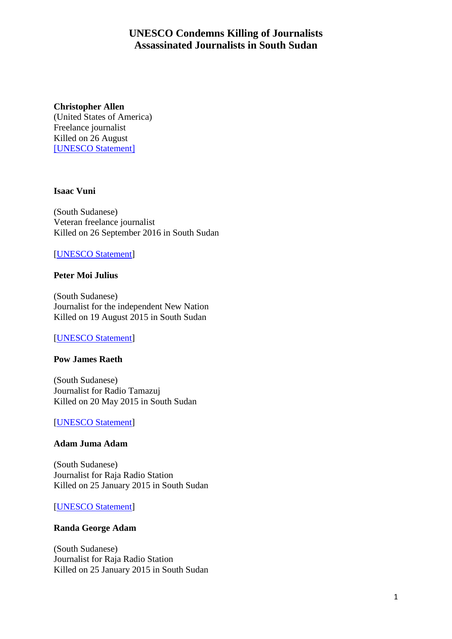# **UNESCO Condemns Killing of Journalists Assassinated Journalists in South Sudan**

## **Christopher Allen**

(United States of America) Freelance journalist Killed on 26 August [\[UNESCO Statement\]](http://en.unesco.org/news/director-general-denounces-killing-war-reporter-christopher-allen-south-sudan)

#### **Isaac Vuni**

(South Sudanese) Veteran freelance journalist Killed on 26 September 2016 in South Sudan

### [\[UNESCO Statement\]](http://www.unesco.org/new/en/communication-and-information/resources/news-and-in-focus-articles/all-news/news/director_general_urges_investigation_into_the_killing_of_fre/)

### **Peter Moi Julius**

(South Sudanese) Journalist for the independent New Nation Killed on 19 August 2015 in South Sudan

#### [\[UNESCO Statement\]](http://www.unesco.org/new/en/communication-and-information/resources/news-and-in-focus-articles/all-news/news/director_general_condemns_murder_of_south_sudanese_journalist_peter_moi_julius/)

#### **Pow James Raeth**

(South Sudanese) Journalist for Radio Tamazuj Killed on 20 May 2015 in South Sudan

#### [\[UNESCO Statement\]](http://www.unesco.org/new/en/communication-and-information/resources/news-and-in-focus-articles/all-news/news/director_general_calls_for_investigation_into_the_killing_of_journalist_pow_james_raeth_in_south_sudan/)

## **Adam Juma Adam**

(South Sudanese) Journalist for Raja Radio Station Killed on 25 January 2015 in South Sudan

#### [\[UNESCO Statement\]](http://www.unesco.org/new/en/communication-and-information/resources/news-and-in-focus-articles/all-news/news/five_journalists_killed_in_south_sudan_director_general_urges_measures_to_improve_safety_of_media_workers)

#### **Randa George Adam**

(South Sudanese) Journalist for Raja Radio Station Killed on 25 January 2015 in South Sudan